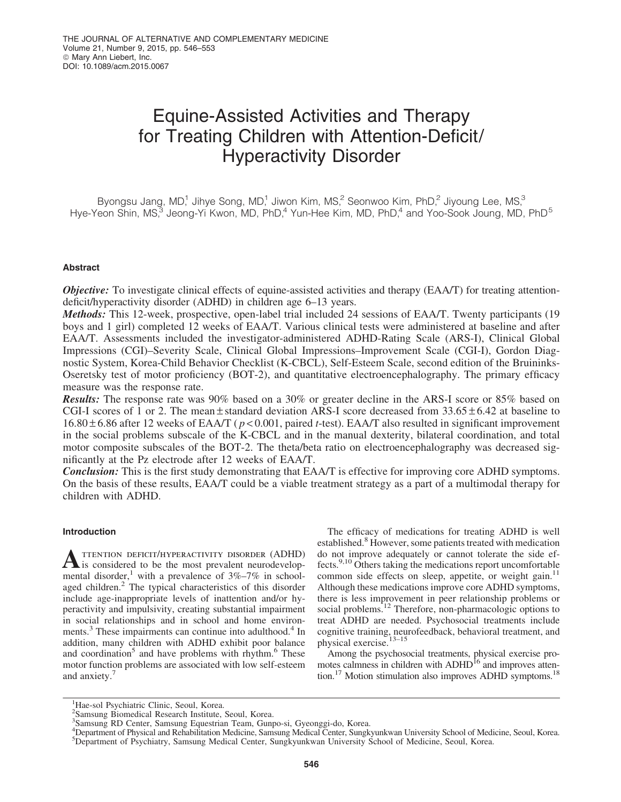# Equine-Assisted Activities and Therapy for Treating Children with Attention-Deficit/ Hyperactivity Disorder

Byongsu Jang, MD,<sup>1</sup> Jihye Song, MD,<sup>1</sup> Jiwon Kim, MS,<sup>2</sup> Seonwoo Kim, PhD,<sup>2</sup> Jiyoung Lee, MS,<sup>3</sup> Hye-Yeon Shin, MS,<sup>3</sup> Jeong-Yi Kwon, MD, PhD,<sup>4</sup> Yun-Hee Kim, MD, PhD,<sup>4</sup> and Yoo-Sook Joung, MD, PhD<sup>5</sup>

# Abstract

Objective: To investigate clinical effects of equine-assisted activities and therapy (EAA/T) for treating attentiondeficit/hyperactivity disorder (ADHD) in children age 6–13 years.

Methods: This 12-week, prospective, open-label trial included 24 sessions of EAA/T. Twenty participants (19 boys and 1 girl) completed 12 weeks of EAA/T. Various clinical tests were administered at baseline and after EAA/T. Assessments included the investigator-administered ADHD-Rating Scale (ARS-I), Clinical Global Impressions (CGI)–Severity Scale, Clinical Global Impressions–Improvement Scale (CGI-I), Gordon Diagnostic System, Korea-Child Behavior Checklist (K-CBCL), Self-Esteem Scale, second edition of the Bruininks-Oseretsky test of motor proficiency (BOT-2), and quantitative electroencephalography. The primary efficacy measure was the response rate.

Results: The response rate was 90% based on a 30% or greater decline in the ARS-I score or 85% based on CGI-I scores of 1 or 2. The mean  $\pm$  standard deviation ARS-I score decreased from  $33.65 \pm 6.42$  at baseline to 16.80 – 6.86 after 12 weeks of EAA/T ( *p* < 0.001, paired *t*-test). EAA/T also resulted in significant improvement in the social problems subscale of the K-CBCL and in the manual dexterity, bilateral coordination, and total motor composite subscales of the BOT-2. The theta/beta ratio on electroencephalography was decreased significantly at the Pz electrode after 12 weeks of EAA/T.

**Conclusion:** This is the first study demonstrating that EAA/T is effective for improving core ADHD symptoms. On the basis of these results, EAA/T could be a viable treatment strategy as a part of a multimodal therapy for children with ADHD.

# Introduction

**A** TTENTION DEFICIT/HYPERACTIVITY DISORDER (ADHD)<br>is considered to be the most prevalent neurodevelopmental disorder,<sup>1</sup> with a prevalence of  $3\% -7\%$  in schoolaged children.<sup>2</sup> The typical characteristics of this disorder include age-inappropriate levels of inattention and/or hyperactivity and impulsivity, creating substantial impairment in social relationships and in school and home environments.<sup>3</sup> These impairments can continue into adulthood.<sup>4</sup> In addition, many children with ADHD exhibit poor balance and coordination<sup>5</sup> and have problems with rhythm.<sup>6</sup> These motor function problems are associated with low self-esteem and anxiety.<sup>7</sup>

The efficacy of medications for treating ADHD is well established.<sup>8</sup> However, some patients treated with medication do not improve adequately or cannot tolerate the side effects.<sup>9,10</sup> Others taking the medications report uncomfortable common side effects on sleep, appetite, or weight gain.<sup>11</sup> Although these medications improve core ADHD symptoms, there is less improvement in peer relationship problems or social problems.<sup>12</sup> Therefore, non-pharmacologic options to treat ADHD are needed. Psychosocial treatments include cognitive training, neurofeedback, behavioral treatment, and physical exercise.13–15

Among the psychosocial treatments, physical exercise promotes calmness in children with ADHD<sup>16</sup> and improves attention.<sup>17</sup> Motion stimulation also improves ADHD symptoms.<sup>18</sup>

<sup>&</sup>lt;sup>1</sup>Hae-sol Psychiatric Clinic, Seoul, Korea.

<sup>2</sup> Samsung Biomedical Research Institute, Seoul, Korea.

<sup>3</sup> Samsung RD Center, Samsung Equestrian Team, Gunpo-si, Gyeonggi-do, Korea.

<sup>&</sup>lt;sup>4</sup> Department of Physical and Rehabilitation Medicine, Samsung Medical Center, Sungkyunkwan University School of Medicine, Seoul, Korea. Department of Psychiatry, Samsung Medical Center, Sungkyunkwan University School of Medicine, Seoul, Korea.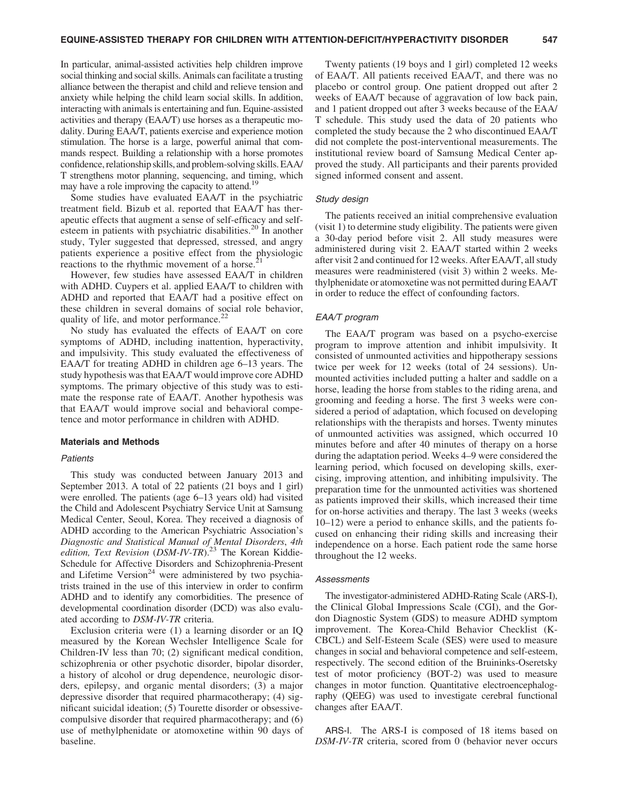In particular, animal-assisted activities help children improve social thinking and social skills. Animals can facilitate a trusting alliance between the therapist and child and relieve tension and anxiety while helping the child learn social skills. In addition, interacting with animals is entertaining and fun. Equine-assisted activities and therapy (EAA/T) use horses as a therapeutic modality. During EAA/T, patients exercise and experience motion stimulation. The horse is a large, powerful animal that commands respect. Building a relationship with a horse promotes confidence, relationship skills, and problem-solving skills. EAA/ T strengthens motor planning, sequencing, and timing, which may have a role improving the capacity to attend.<sup>19</sup>

Some studies have evaluated EAA/T in the psychiatric treatment field. Bizub et al. reported that EAA/T has therapeutic effects that augment a sense of self-efficacy and selfesteem in patients with psychiatric disabilities.<sup>20</sup> In another study, Tyler suggested that depressed, stressed, and angry patients experience a positive effect from the physiologic reactions to the rhythmic movement of a horse.<sup>2</sup>

However, few studies have assessed EAA/T in children with ADHD. Cuypers et al. applied EAA/T to children with ADHD and reported that EAA/T had a positive effect on these children in several domains of social role behavior, quality of life, and motor performance.<sup>2</sup>

No study has evaluated the effects of EAA/T on core symptoms of ADHD, including inattention, hyperactivity, and impulsivity. This study evaluated the effectiveness of EAA/T for treating ADHD in children age 6–13 years. The study hypothesis was that EAA/T would improve core ADHD symptoms. The primary objective of this study was to estimate the response rate of EAA/T. Another hypothesis was that EAA/T would improve social and behavioral competence and motor performance in children with ADHD.

## Materials and Methods

## **Patients**

This study was conducted between January 2013 and September 2013. A total of 22 patients (21 boys and 1 girl) were enrolled. The patients (age 6–13 years old) had visited the Child and Adolescent Psychiatry Service Unit at Samsung Medical Center, Seoul, Korea. They received a diagnosis of ADHD according to the American Psychiatric Association's *Diagnostic and Statistical Manual of Mental Disorders*, *4th edition, Text Revision* (*DSM-IV-TR*).23 The Korean Kiddie-Schedule for Affective Disorders and Schizophrenia-Present and Lifetime Version<sup>24</sup> were administered by two psychiatrists trained in the use of this interview in order to confirm ADHD and to identify any comorbidities. The presence of developmental coordination disorder (DCD) was also evaluated according to *DSM-IV-TR* criteria.

Exclusion criteria were (1) a learning disorder or an IQ measured by the Korean Wechsler Intelligence Scale for Children-IV less than 70; (2) significant medical condition, schizophrenia or other psychotic disorder, bipolar disorder, a history of alcohol or drug dependence, neurologic disorders, epilepsy, and organic mental disorders; (3) a major depressive disorder that required pharmacotherapy; (4) significant suicidal ideation; (5) Tourette disorder or obsessivecompulsive disorder that required pharmacotherapy; and (6) use of methylphenidate or atomoxetine within 90 days of baseline.

Twenty patients (19 boys and 1 girl) completed 12 weeks of EAA/T. All patients received EAA/T, and there was no placebo or control group. One patient dropped out after 2 weeks of EAA/T because of aggravation of low back pain, and 1 patient dropped out after 3 weeks because of the EAA/ T schedule. This study used the data of 20 patients who completed the study because the 2 who discontinued EAA/T did not complete the post-interventional measurements. The institutional review board of Samsung Medical Center approved the study. All participants and their parents provided signed informed consent and assent.

## Study design

The patients received an initial comprehensive evaluation (visit 1) to determine study eligibility. The patients were given a 30-day period before visit 2. All study measures were administered during visit 2. EAA/T started within 2 weeks after visit 2 and continued for 12 weeks. After EAA/T, all study measures were readministered (visit 3) within 2 weeks. Methylphenidate or atomoxetine was not permitted during EAA/T in order to reduce the effect of confounding factors.

## EAA/T program

The EAA/T program was based on a psycho-exercise program to improve attention and inhibit impulsivity. It consisted of unmounted activities and hippotherapy sessions twice per week for 12 weeks (total of 24 sessions). Unmounted activities included putting a halter and saddle on a horse, leading the horse from stables to the riding arena, and grooming and feeding a horse. The first 3 weeks were considered a period of adaptation, which focused on developing relationships with the therapists and horses. Twenty minutes of unmounted activities was assigned, which occurred 10 minutes before and after 40 minutes of therapy on a horse during the adaptation period. Weeks 4–9 were considered the learning period, which focused on developing skills, exercising, improving attention, and inhibiting impulsivity. The preparation time for the unmounted activities was shortened as patients improved their skills, which increased their time for on-horse activities and therapy. The last 3 weeks (weeks 10–12) were a period to enhance skills, and the patients focused on enhancing their riding skills and increasing their independence on a horse. Each patient rode the same horse throughout the 12 weeks.

#### **Assessments**

The investigator-administered ADHD-Rating Scale (ARS-I), the Clinical Global Impressions Scale (CGI), and the Gordon Diagnostic System (GDS) to measure ADHD symptom improvement. The Korea-Child Behavior Checklist (K-CBCL) and Self-Esteem Scale (SES) were used to measure changes in social and behavioral competence and self-esteem, respectively. The second edition of the Bruininks-Oseretsky test of motor proficiency (BOT-2) was used to measure changes in motor function. Quantitative electroencephalography (QEEG) was used to investigate cerebral functional changes after EAA/T.

ARS-I. The ARS-I is composed of 18 items based on *DSM-IV-TR* criteria, scored from 0 (behavior never occurs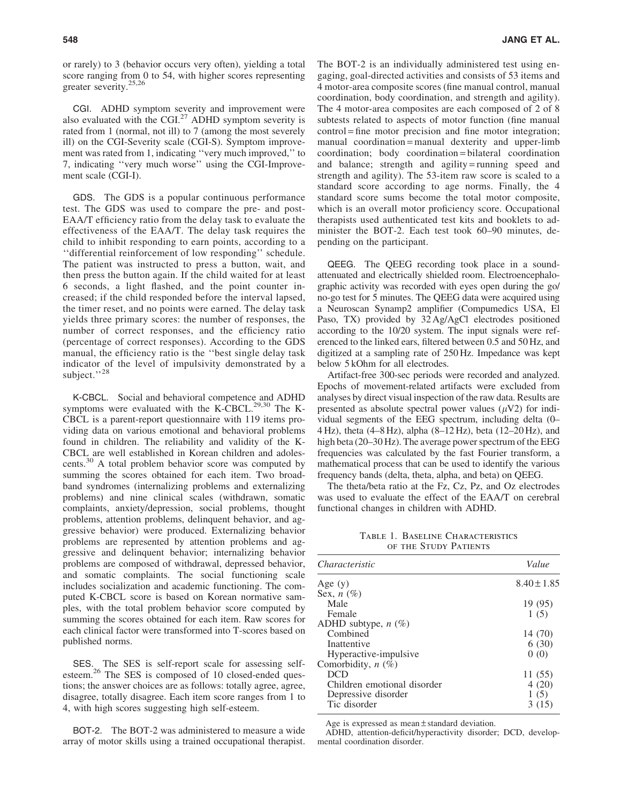or rarely) to 3 (behavior occurs very often), yielding a total score ranging from 0 to 54, with higher scores representing greater severity.25,26

CGI. ADHD symptom severity and improvement were also evaluated with the CGI. $^{27}$  ADHD symptom severity is rated from 1 (normal, not ill) to 7 (among the most severely ill) on the CGI-Severity scale (CGI-S). Symptom improvement was rated from 1, indicating ''very much improved,'' to 7, indicating ''very much worse'' using the CGI-Improvement scale (CGI-I).

GDS. The GDS is a popular continuous performance test. The GDS was used to compare the pre- and post-EAA/T efficiency ratio from the delay task to evaluate the effectiveness of the EAA/T. The delay task requires the child to inhibit responding to earn points, according to a ''differential reinforcement of low responding'' schedule. The patient was instructed to press a button, wait, and then press the button again. If the child waited for at least 6 seconds, a light flashed, and the point counter increased; if the child responded before the interval lapsed, the timer reset, and no points were earned. The delay task yields three primary scores: the number of responses, the number of correct responses, and the efficiency ratio (percentage of correct responses). According to the GDS manual, the efficiency ratio is the ''best single delay task indicator of the level of impulsivity demonstrated by a subject."<sup>2</sup>

K-CBCL. Social and behavioral competence and ADHD symptoms were evaluated with the K-CBCL.<sup>29,30</sup> The K-CBCL is a parent-report questionnaire with 119 items providing data on various emotional and behavioral problems found in children. The reliability and validity of the K-CBCL are well established in Korean children and adolescents.<sup>30</sup> A total problem behavior score was computed by summing the scores obtained for each item. Two broadband syndromes (internalizing problems and externalizing problems) and nine clinical scales (withdrawn, somatic complaints, anxiety/depression, social problems, thought problems, attention problems, delinquent behavior, and aggressive behavior) were produced. Externalizing behavior problems are represented by attention problems and aggressive and delinquent behavior; internalizing behavior problems are composed of withdrawal, depressed behavior, and somatic complaints. The social functioning scale includes socialization and academic functioning. The computed K-CBCL score is based on Korean normative samples, with the total problem behavior score computed by summing the scores obtained for each item. Raw scores for each clinical factor were transformed into T-scores based on published norms.

SES. The SES is self-report scale for assessing selfesteem.<sup>26</sup> The SES is composed of 10 closed-ended questions; the answer choices are as follows: totally agree, agree, disagree, totally disagree. Each item score ranges from 1 to 4, with high scores suggesting high self-esteem.

BOT-2. The BOT-2 was administered to measure a wide array of motor skills using a trained occupational therapist. The BOT-2 is an individually administered test using engaging, goal-directed activities and consists of 53 items and 4 motor-area composite scores (fine manual control, manual coordination, body coordination, and strength and agility). The 4 motor-area composites are each composed of 2 of 8 subtests related to aspects of motor function (fine manual control = fine motor precision and fine motor integration; manual coordination = manual dexterity and upper-limb coordination; body coordination = bilateral coordination and balance; strength and agility = running speed and strength and agility). The 53-item raw score is scaled to a standard score according to age norms. Finally, the 4 standard score sums become the total motor composite, which is an overall motor proficiency score. Occupational therapists used authenticated test kits and booklets to administer the BOT-2. Each test took 60–90 minutes, depending on the participant.

QEEG. The QEEG recording took place in a soundattenuated and electrically shielded room. Electroencephalographic activity was recorded with eyes open during the go/ no-go test for 5 minutes. The QEEG data were acquired using a Neuroscan Synamp2 amplifier (Compumedics USA, El Paso, TX) provided by 32 Ag/AgCl electrodes positioned according to the 10/20 system. The input signals were referenced to the linked ears, filtered between 0.5 and 50 Hz, and digitized at a sampling rate of 250 Hz. Impedance was kept below 5 kOhm for all electrodes.

Artifact-free 300-sec periods were recorded and analyzed. Epochs of movement-related artifacts were excluded from analyses by direct visual inspection of the raw data. Results are presented as absolute spectral power values  $(\mu V2)$  for individual segments of the EEG spectrum, including delta (0– 4 Hz), theta (4–8 Hz), alpha (8–12 Hz), beta (12–20 Hz), and high beta (20–30 Hz). The average power spectrum of the EEG frequencies was calculated by the fast Fourier transform, a mathematical process that can be used to identify the various frequency bands (delta, theta, alpha, and beta) on QEEG.

The theta/beta ratio at the Fz, Cz, Pz, and Oz electrodes was used to evaluate the effect of the EAA/T on cerebral functional changes in children with ADHD.

Table 1. Baseline Characteristics of the Study Patients

| <i>Characteristic</i>       | Value           |
|-----------------------------|-----------------|
| Age $(y)$                   | $8.40 \pm 1.85$ |
| Sex, $n(\%)$                |                 |
| Male                        | 19 (95)         |
| Female                      | 1(5)            |
| ADHD subtype, $n$ (%)       |                 |
| Combined                    | 14 (70)         |
| Inattentive                 | 6(30)           |
| Hyperactive-impulsive       | 0(0)            |
| Comorbidity, $n$ (%)        |                 |
| <b>DCD</b>                  | 11(55)          |
| Children emotional disorder | 4(20)           |
| Depressive disorder         | 1(5)            |
| Tic disorder                | 3(15)           |
|                             |                 |

Age is expressed as mean  $\pm$  standard deviation.

ADHD, attention-deficit/hyperactivity disorder; DCD, developmental coordination disorder.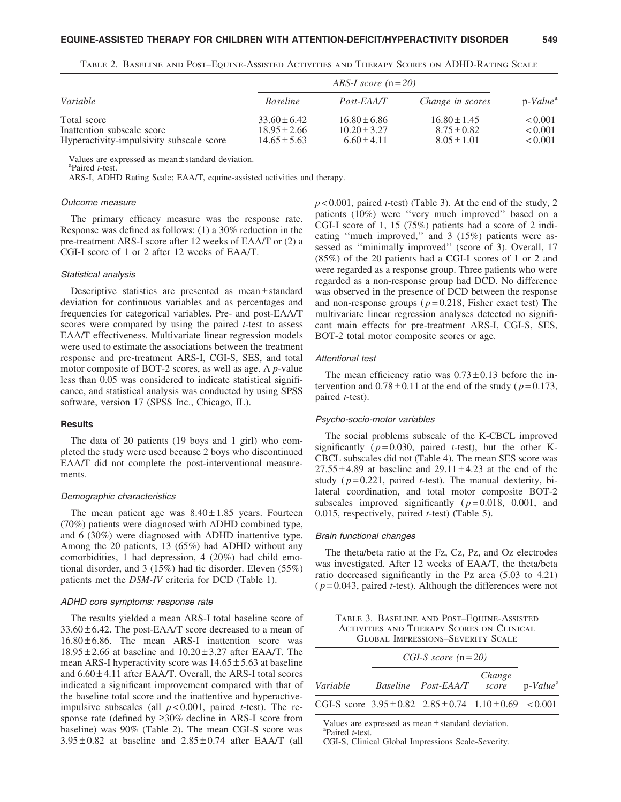|                                                                                       | ARS-I score $(n=20)$                                     |                                                         |                                                        |                               |
|---------------------------------------------------------------------------------------|----------------------------------------------------------|---------------------------------------------------------|--------------------------------------------------------|-------------------------------|
| <i>Variable</i>                                                                       | <i>Baseline</i>                                          | Post-EAA/T                                              | Change in scores                                       | $p-Value^a$                   |
| Total score<br>Inattention subscale score<br>Hyperactivity-impulsivity subscale score | $33.60 \pm 6.42$<br>$18.95 \pm 2.66$<br>$14.65 \pm 5.63$ | $16.80 \pm 6.86$<br>$10.20 \pm 3.27$<br>$6.60 \pm 4.11$ | $16.80 \pm 1.45$<br>$8.75 \pm 0.82$<br>$8.05 \pm 1.01$ | < 0.001<br>< 0.001<br>< 0.001 |

Table 2. Baseline and Post–Equine-Assisted Activities and Therapy Scores on ADHD-Rating Scale

Values are expressed as mean  $\pm$  standard deviation.

Paired *t*-test.

ARS-I, ADHD Rating Scale; EAA/T, equine-assisted activities and therapy.

## Outcome measure

The primary efficacy measure was the response rate. Response was defined as follows: (1) a 30% reduction in the pre-treatment ARS-I score after 12 weeks of EAA/T or (2) a CGI-I score of 1 or 2 after 12 weeks of EAA/T.

#### Statistical analysis

Descriptive statistics are presented as mean  $\pm$  standard deviation for continuous variables and as percentages and frequencies for categorical variables. Pre- and post-EAA/T scores were compared by using the paired *t*-test to assess EAA/T effectiveness. Multivariate linear regression models were used to estimate the associations between the treatment response and pre-treatment ARS-I, CGI-S, SES, and total motor composite of BOT-2 scores, as well as age. A *p*-value less than 0.05 was considered to indicate statistical significance, and statistical analysis was conducted by using SPSS software, version 17 (SPSS Inc., Chicago, IL).

### **Results**

The data of 20 patients (19 boys and 1 girl) who completed the study were used because 2 boys who discontinued EAA/T did not complete the post-interventional measurements.

#### Demographic characteristics

The mean patient age was  $8.40 \pm 1.85$  years. Fourteen (70%) patients were diagnosed with ADHD combined type, and 6 (30%) were diagnosed with ADHD inattentive type. Among the 20 patients, 13 (65%) had ADHD without any comorbidities, 1 had depression, 4 (20%) had child emotional disorder, and 3 (15%) had tic disorder. Eleven (55%) patients met the *DSM-IV* criteria for DCD (Table 1).

## ADHD core symptoms: response rate

The results yielded a mean ARS-I total baseline score of  $33.60 \pm 6.42$ . The post-EAA/T score decreased to a mean of  $16.80 \pm 6.86$ . The mean ARS-I inattention score was  $18.95 \pm 2.66$  at baseline and  $10.20 \pm 3.27$  after EAA/T. The mean ARS-I hyperactivity score was  $14.65 \pm 5.63$  at baseline and  $6.60 \pm 4.11$  after EAA/T. Overall, the ARS-I total scores indicated a significant improvement compared with that of the baseline total score and the inattentive and hyperactiveimpulsive subscales (all  $p < 0.001$ , paired *t*-test). The response rate (defined by  $\geq 30\%$  decline in ARS-I score from baseline) was 90% (Table 2). The mean CGI-S score was  $3.95 \pm 0.82$  at baseline and  $2.85 \pm 0.74$  after EAA/T (all *p* < 0.001, paired *t*-test) (Table 3). At the end of the study, 2 patients (10%) were ''very much improved'' based on a CGI-I score of 1, 15 (75%) patients had a score of 2 indicating ''much improved,'' and 3 (15%) patients were assessed as ''minimally improved'' (score of 3). Overall, 17 (85%) of the 20 patients had a CGI-I scores of 1 or 2 and were regarded as a response group. Three patients who were regarded as a non-response group had DCD. No difference was observed in the presence of DCD between the response and non-response groups ( $p = 0.218$ , Fisher exact test) The multivariate linear regression analyses detected no significant main effects for pre-treatment ARS-I, CGI-S, SES, BOT-2 total motor composite scores or age.

## Attentional test

The mean efficiency ratio was  $0.73 \pm 0.13$  before the intervention and  $0.78 \pm 0.11$  at the end of the study ( $p = 0.173$ , paired *t*-test).

## Psycho-socio-motor variables

The social problems subscale of the K-CBCL improved significantly ( $p = 0.030$ , paired *t*-test), but the other K-CBCL subscales did not (Table 4). The mean SES score was  $27.55 \pm 4.89$  at baseline and  $29.11 \pm 4.23$  at the end of the study ( $p = 0.221$ , paired *t*-test). The manual dexterity, bilateral coordination, and total motor composite BOT-2 subscales improved significantly  $(p=0.018, 0.001,$  and 0.015, respectively, paired *t*-test) (Table 5).

## Brain functional changes

The theta/beta ratio at the Fz, Cz, Pz, and Oz electrodes was investigated. After 12 weeks of EAA/T, the theta/beta ratio decreased significantly in the Pz area (5.03 to 4.21)  $(p=0.043,$  paired *t*-test). Although the differences were not

Table 3. Baseline and Post–Equine-Assisted Activities and Therapy Scores on Clinical Global Impressions–Severity Scale

|                                                                     | CGI-S score $(n=20)$ |                     |                 |             |
|---------------------------------------------------------------------|----------------------|---------------------|-----------------|-------------|
| Variable                                                            |                      | Baseline Post-EAA/T | Change<br>score | $p-Value^a$ |
| CGI-S score $3.95 \pm 0.82$ $2.85 \pm 0.74$ $1.10 \pm 0.69$ < 0.001 |                      |                     |                 |             |

Values are expressed as mean  $\pm$  standard deviation. Paired *t*-test.

CGI-S, Clinical Global Impressions Scale-Severity.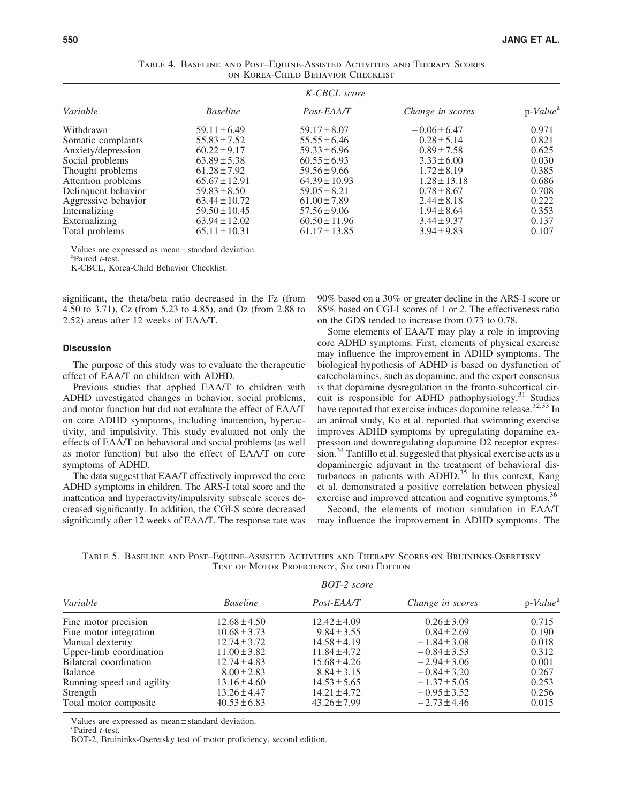|                     | K-CBCL score      |                   |                  |             |
|---------------------|-------------------|-------------------|------------------|-------------|
| Variable            | <b>Baseline</b>   | Post-EAA/T        | Change in scores | $p-Value^a$ |
| Withdrawn           | $59.11 \pm 6.49$  | $59.17 \pm 8.07$  | $-0.06 \pm 6.47$ | 0.971       |
| Somatic complaints  | $55.83 \pm 7.52$  | $55.55 \pm 6.46$  | $0.28 \pm 5.14$  | 0.821       |
| Anxiety/depression  | $60.22 \pm 9.17$  | $59.33 \pm 6.96$  | $0.89 \pm 7.58$  | 0.625       |
| Social problems     | $63.89 \pm 5.38$  | $60.55 \pm 6.93$  | $3.33 \pm 6.00$  | 0.030       |
| Thought problems    | $61.28 \pm 7.92$  | $59.56 \pm 9.66$  | $1.72 \pm 8.19$  | 0.385       |
| Attention problems  | $65.67 \pm 12.91$ | $64.39 \pm 10.93$ | $1.28 \pm 13.18$ | 0.686       |
| Delinquent behavior | $59.83 \pm 8.50$  | $59.05 \pm 8.21$  | $0.78 \pm 8.67$  | 0.708       |
| Aggressive behavior | $63.44 \pm 10.72$ | $61.00 \pm 7.89$  | $2.44 \pm 8.18$  | 0.222       |
| Internalizing       | $59.50 \pm 10.45$ | $57.56 \pm 9.06$  | $1.94 \pm 8.64$  | 0.353       |
| Externalizing       | $63.94 \pm 12.02$ | $60.50 \pm 11.96$ | $3.44 \pm 9.37$  | 0.137       |
| Total problems      | $65.11 \pm 10.31$ | $61.17 \pm 13.85$ | $3.94 \pm 9.83$  | 0.107       |

Table 4. Baseline and Post–Equine-Assisted Activities and Therapy Scores on Korea-Child Behavior Checklist

Values are expressed as mean  $\pm$  standard deviation.

Paired *t*-test.

K-CBCL, Korea-Child Behavior Checklist.

significant, the theta/beta ratio decreased in the Fz (from 4.50 to 3.71), Cz (from 5.23 to 4.85), and Oz (from 2.88 to 2.52) areas after 12 weeks of EAA/T.

# **Discussion**

The purpose of this study was to evaluate the therapeutic effect of EAA/T on children with ADHD.

Previous studies that applied EAA/T to children with ADHD investigated changes in behavior, social problems, and motor function but did not evaluate the effect of EAA/T on core ADHD symptoms, including inattention, hyperactivity, and impulsivity. This study evaluated not only the effects of EAA/T on behavioral and social problems (as well as motor function) but also the effect of EAA/T on core symptoms of ADHD.

The data suggest that EAA/T effectively improved the core ADHD symptoms in children. The ARS-I total score and the inattention and hyperactivity/impulsivity subscale scores decreased significantly. In addition, the CGI-S score decreased significantly after 12 weeks of EAA/T. The response rate was 90% based on a 30% or greater decline in the ARS-I score or 85% based on CGI-I scores of 1 or 2. The effectiveness ratio on the GDS tended to increase from 0.73 to 0.78.

Some elements of EAA/T may play a role in improving core ADHD symptoms. First, elements of physical exercise may influence the improvement in ADHD symptoms. The biological hypothesis of ADHD is based on dysfunction of catecholamines, such as dopamine, and the expert consensus is that dopamine dysregulation in the fronto-subcortical circuit is responsible for ADHD pathophysiology.<sup>31</sup> Studies have reported that exercise induces dopamine release.<sup>32,33</sup> In an animal study, Ko et al. reported that swimming exercise improves ADHD symptoms by upregulating dopamine expression and downregulating dopamine D2 receptor expression.<sup>34</sup> Tantillo et al. suggested that physical exercise acts as a dopaminergic adjuvant in the treatment of behavioral disturbances in patients with  $ADHD<sup>35</sup>$  In this context, Kang et al. demonstrated a positive correlation between physical exercise and improved attention and cognitive symptoms.<sup>36</sup>

Second, the elements of motion simulation in EAA/T may influence the improvement in ADHD symptoms. The

Table 5. Baseline and Post–Equine-Assisted Activities and Therapy Scores on Bruininks-Oseretsky Test of Motor Proficiency, Second Edition

|                           |                  | BOT-2 score      |                  |             |  |
|---------------------------|------------------|------------------|------------------|-------------|--|
| Variable                  | <b>Baseline</b>  | Post-EAA/T       | Change in scores | $p-Value^a$ |  |
| Fine motor precision      | $12.68 \pm 4.50$ | $12.42 \pm 4.09$ | $0.26 \pm 3.09$  | 0.715       |  |
| Fine motor integration    | $10.68 \pm 3.73$ | $9.84 \pm 3.55$  | $0.84 \pm 2.69$  | 0.190       |  |
| Manual dexterity          | $12.74 \pm 3.72$ | $14.58 \pm 4.19$ | $-1.84 \pm 3.08$ | 0.018       |  |
| Upper-limb coordination   | $11.00 \pm 3.82$ | $11.84 \pm 4.72$ | $-0.84 \pm 3.53$ | 0.312       |  |
| Bilateral coordination    | $12.74 \pm 4.83$ | $15.68 \pm 4.26$ | $-2.94 \pm 3.06$ | 0.001       |  |
| Balance                   | $8.00 \pm 2.83$  | $8.84 \pm 3.15$  | $-0.84 \pm 3.20$ | 0.267       |  |
| Running speed and agility | $13.16 \pm 4.60$ | $14.53 \pm 5.65$ | $-1.37 \pm 5.05$ | 0.253       |  |
| Strength                  | $13.26 \pm 4.47$ | $14.21 \pm 4.72$ | $-0.95 \pm 3.52$ | 0.256       |  |
| Total motor composite     | $40.53 \pm 6.83$ | $43.26 \pm 7.99$ | $-2.73 \pm 4.46$ | 0.015       |  |

Values are expressed as mean  $\pm$  standard deviation.

Paired *t*-test.

BOT-2, Bruininks-Oseretsky test of motor proficiency, second edition.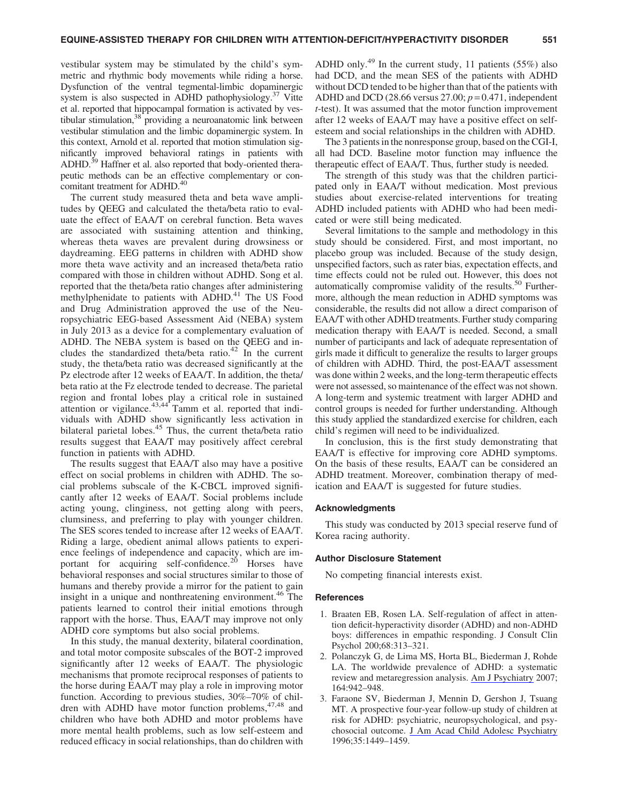vestibular system may be stimulated by the child's symmetric and rhythmic body movements while riding a horse. Dysfunction of the ventral tegmental-limbic dopaminergic system is also suspected in ADHD pathophysiology.<sup>37</sup> Vitte et al. reported that hippocampal formation is activated by vestibular stimulation,<sup>38</sup> providing a neuroanatomic link between vestibular stimulation and the limbic dopaminergic system. In this context, Arnold et al. reported that motion stimulation significantly improved behavioral ratings in patients with ADHD.<sup>39</sup> Haffner et al. also reported that body-oriented therapeutic methods can be an effective complementary or concomitant treatment for ADHD.<sup>40</sup>

The current study measured theta and beta wave amplitudes by QEEG and calculated the theta/beta ratio to evaluate the effect of EAA/T on cerebral function. Beta waves are associated with sustaining attention and thinking, whereas theta waves are prevalent during drowsiness or daydreaming. EEG patterns in children with ADHD show more theta wave activity and an increased theta/beta ratio compared with those in children without ADHD. Song et al. reported that the theta/beta ratio changes after administering methylphenidate to patients with ADHD.<sup>41</sup> The US Food and Drug Administration approved the use of the Neuropsychiatric EEG-based Assessment Aid (NEBA) system in July 2013 as a device for a complementary evaluation of ADHD. The NEBA system is based on the QEEG and includes the standardized theta/beta ratio. $42$  In the current study, the theta/beta ratio was decreased significantly at the Pz electrode after 12 weeks of EAA/T. In addition, the theta/ beta ratio at the Fz electrode tended to decrease. The parietal region and frontal lobes play a critical role in sustained attention or vigilance. $43,44$  Tamm et al. reported that individuals with ADHD show significantly less activation in bilateral parietal lobes.<sup>45</sup> Thus, the current theta/beta ratio results suggest that EAA/T may positively affect cerebral function in patients with ADHD.

The results suggest that EAA/T also may have a positive effect on social problems in children with ADHD. The social problems subscale of the K-CBCL improved significantly after 12 weeks of EAA/T. Social problems include acting young, clinginess, not getting along with peers, clumsiness, and preferring to play with younger children. The SES scores tended to increase after 12 weeks of EAA/T. Riding a large, obedient animal allows patients to experience feelings of independence and capacity, which are important for acquiring self-confidence.<sup>20</sup> Horses have behavioral responses and social structures similar to those of humans and thereby provide a mirror for the patient to gain insight in a unique and nonthreatening environment.<sup>46</sup> The patients learned to control their initial emotions through rapport with the horse. Thus, EAA/T may improve not only ADHD core symptoms but also social problems.

In this study, the manual dexterity, bilateral coordination, and total motor composite subscales of the BOT-2 improved significantly after 12 weeks of EAA/T. The physiologic mechanisms that promote reciprocal responses of patients to the horse during EAA/T may play a role in improving motor function. According to previous studies, 30%–70% of children with ADHD have motor function problems,<sup>47,48</sup> and children who have both ADHD and motor problems have more mental health problems, such as low self-esteem and reduced efficacy in social relationships, than do children with

ADHD only.<sup>49</sup> In the current study, 11 patients (55%) also had DCD, and the mean SES of the patients with ADHD without DCD tended to be higher than that of the patients with ADHD and DCD (28.66 versus 27.00; *p* = 0.471, independent *t*-test). It was assumed that the motor function improvement after 12 weeks of EAA/T may have a positive effect on selfesteem and social relationships in the children with ADHD.

The 3 patients in the nonresponse group, based on the CGI-I, all had DCD. Baseline motor function may influence the therapeutic effect of EAA/T. Thus, further study is needed.

The strength of this study was that the children participated only in EAA/T without medication. Most previous studies about exercise-related interventions for treating ADHD included patients with ADHD who had been medicated or were still being medicated.

Several limitations to the sample and methodology in this study should be considered. First, and most important, no placebo group was included. Because of the study design, unspecified factors, such as rater bias, expectation effects, and time effects could not be ruled out. However, this does not automatically compromise validity of the results. $50$  Furthermore, although the mean reduction in ADHD symptoms was considerable, the results did not allow a direct comparison of EAA/T with other ADHD treatments. Further study comparing medication therapy with EAA/T is needed. Second, a small number of participants and lack of adequate representation of girls made it difficult to generalize the results to larger groups of children with ADHD. Third, the post-EAA/T assessment was done within 2 weeks, and the long-term therapeutic effects were not assessed, so maintenance of the effect was not shown. A long-term and systemic treatment with larger ADHD and control groups is needed for further understanding. Although this study applied the standardized exercise for children, each child's regimen will need to be individualized.

In conclusion, this is the first study demonstrating that EAA/T is effective for improving core ADHD symptoms. On the basis of these results, EAA/T can be considered an ADHD treatment. Moreover, combination therapy of medication and EAA/T is suggested for future studies.

#### Acknowledgments

This study was conducted by 2013 special reserve fund of Korea racing authority.

## Author Disclosure Statement

No competing financial interests exist.

#### References

- 1. Braaten EB, Rosen LA. Self-regulation of affect in attention deficit-hyperactivity disorder (ADHD) and non-ADHD boys: differences in empathic responding. J Consult Clin Psychol 200;68:313–321.
- 2. Polanczyk G, de Lima MS, Horta BL, Biederman J, Rohde LA. The worldwide prevalence of ADHD: a systematic review and metaregression analysis. [Am J Psychiatry](http://online.liebertpub.com/action/showLinks?pmid=17541055&crossref=10.1176%2Fappi.ajp.164.6.942) 2007; 164:942–948.
- 3. Faraone SV, Biederman J, Mennin D, Gershon J, Tsuang MT. A prospective four-year follow-up study of children at risk for ADHD: psychiatric, neuropsychological, and psychosocial outcome. [J Am Acad Child Adolesc Psychiatry](http://online.liebertpub.com/action/showLinks?pmid=8936911&crossref=10.1097%2F00004583-199611000-00013) 1996;35:1449–1459.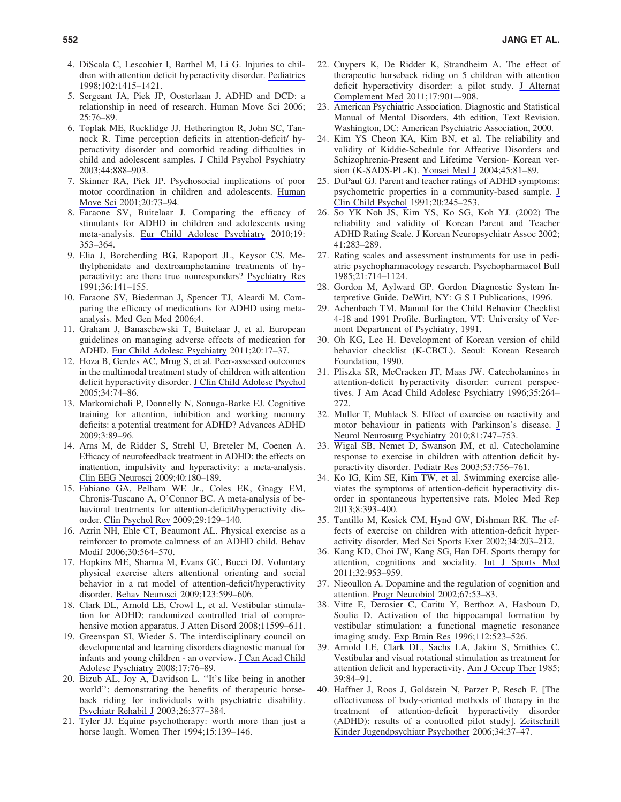- 4. DiScala C, Lescohier I, Barthel M, Li G. Injuries to children with attention deficit hyperactivity disorder. [Pediatrics](http://online.liebertpub.com/action/showLinks?pmid=9832578&crossref=10.1542%2Fpeds.102.6.1415) 1998;102:1415–1421.
- 5. Sergeant JA, Piek JP, Oosterlaan J. ADHD and DCD: a relationship in need of research. [Human Move Sci](http://online.liebertpub.com/action/showLinks?pmid=16442173&crossref=10.1016%2Fj.humov.2005.10.007) 2006; 25:76–89.
- 6. Toplak ME, Rucklidge JJ, Hetherington R, John SC, Tannock R. Time perception deficits in attention-deficit/ hyperactivity disorder and comorbid reading difficulties in child and adolescent samples. [J Child Psychol Psychiatry](http://online.liebertpub.com/action/showLinks?pmid=12959497&crossref=10.1111%2F1469-7610.00173) 2003;44:888–903.
- 7. Skinner RA, Piek JP. Psychosocial implications of poor motor coordination in children and adolescents. [Human](http://online.liebertpub.com/action/showLinks?pmid=11471399&crossref=10.1016%2FS0167-9457%2801%2900029-X) [Move Sci](http://online.liebertpub.com/action/showLinks?pmid=11471399&crossref=10.1016%2FS0167-9457%2801%2900029-X) 2001;20:73–94.
- 8. Faraone SV, Buitelaar J. Comparing the efficacy of stimulants for ADHD in children and adolescents using meta-analysis. [Eur Child Adolesc Psychiatry](http://online.liebertpub.com/action/showLinks?pmid=19763664&crossref=10.1007%2Fs00787-009-0054-3) 2010;19: 353–364.
- 9. Elia J, Borcherding BG, Rapoport JL, Keysor CS. Methylphenidate and dextroamphetamine treatments of hyperactivity: are there true nonresponders? [Psychiatry Res](http://online.liebertpub.com/action/showLinks?pmid=2017529&crossref=10.1016%2F0165-1781%2891%2990126-A) 1991;36:141–155.
- 10. Faraone SV, Biederman J, Spencer TJ, Aleardi M. Comparing the efficacy of medications for ADHD using metaanalysis. Med Gen Med 2006;4.
- 11. Graham J, Banaschewski T, Buitelaar J, et al. European guidelines on managing adverse effects of medication for ADHD. [Eur Child Adolesc Psychiatry](http://online.liebertpub.com/action/showLinks?pmid=21042924&crossref=10.1007%2Fs00787-010-0140-6) 2011;20:17–37.
- 12. Hoza B, Gerdes AC, Mrug S, et al. Peer-assessed outcomes in the multimodal treatment study of children with attention deficit hyperactivity disorder. [J Clin Child Adolesc Psychol](http://online.liebertpub.com/action/showLinks?pmid=15677282&crossref=10.1207%2Fs15374424jccp3401_7) 2005;34:74–86.
- 13. Markomichali P, Donnelly N, Sonuga-Barke EJ. Cognitive training for attention, inhibition and working memory deficits: a potential treatment for ADHD? Advances ADHD 2009;3:89–96.
- 14. Arns M, de Ridder S, Strehl U, Breteler M, Coenen A. Efficacy of neurofeedback treatment in ADHD: the effects on inattention, impulsivity and hyperactivity: a meta-analysis. [Clin EEG Neurosci](http://online.liebertpub.com/action/showLinks?pmid=19715181&crossref=10.1177%2F155005940904000311) 2009;40:180–189.
- 15. Fabiano GA, Pelham WE Jr., Coles EK, Gnagy EM, Chronis-Tuscano A, O'Connor BC. A meta-analysis of behavioral treatments for attention-deficit/hyperactivity disorder. [Clin Psychol Rev](http://online.liebertpub.com/action/showLinks?pmid=19131150&crossref=10.1016%2Fj.cpr.2008.11.001) 2009;29:129–140.
- 16. Azrin NH, Ehle CT, Beaumont AL. Physical exercise as a reinforcer to promote calmness of an ADHD child. [Behav](http://online.liebertpub.com/action/showLinks?pmid=16894230&crossref=10.1177%2F0145445504267952) [Modif](http://online.liebertpub.com/action/showLinks?pmid=16894230&crossref=10.1177%2F0145445504267952) 2006;30:564–570.
- 17. Hopkins ME, Sharma M, Evans GC, Bucci DJ. Voluntary physical exercise alters attentional orienting and social behavior in a rat model of attention-deficit/hyperactivity disorder. [Behav Neurosci](http://online.liebertpub.com/action/showLinks?pmid=19485566&crossref=10.1037%2Fa0015632) 2009;123:599–606.
- 18. Clark DL, Arnold LE, Crowl L, et al. Vestibular stimulation for ADHD: randomized controlled trial of comprehensive motion apparatus. J Atten Disord 2008;11599–611.
- 19. Greenspan SI, Wieder S. The interdisciplinary council on developmental and learning disorders diagnostic manual for infants and young children - an overview. [J Can Acad Child](http://online.liebertpub.com/action/showLinks?pmid=18516310) [Adolesc Pyschiatry](http://online.liebertpub.com/action/showLinks?pmid=18516310) 2008;17:76–89.
- 20. Bizub AL, Joy A, Davidson L. ''It's like being in another world'': demonstrating the benefits of therapeutic horseback riding for individuals with psychiatric disability. [Psychiatr Rehabil J](http://online.liebertpub.com/action/showLinks?pmid=12739908&crossref=10.2975%2F26.2003.377.384) 2003;26:377–384.
- 21. Tyler JJ. Equine psychotherapy: worth more than just a horse laugh. [Women Ther](http://online.liebertpub.com/action/showLinks?crossref=10.1300%2FJ015v15n03_11) 1994;15:139–146.
- 22. Cuypers K, De Ridder K, Strandheim A. The effect of therapeutic horseback riding on 5 children with attention deficit hyperactivity disorder: a pilot study. [J Alternat](http://online.liebertpub.com/action/showLinks?system=10.1089%2Facm.2010.0547) [Complement Med](http://online.liebertpub.com/action/showLinks?system=10.1089%2Facm.2010.0547) 2011;17:901–-908.
- 23. American Psychiatric Association. Diagnostic and Statistical Manual of Mental Disorders, 4th edition, Text Revision. Washington, DC: American Psychiatric Association, 2000.
- 24. Kim YS Cheon KA, Kim BN, et al. The reliability and validity of Kiddie-Schedule for Affective Disorders and Schizophrenia-Present and Lifetime Version- Korean version (K-SADS-PL-K). [Yonsei Med J](http://online.liebertpub.com/action/showLinks?pmid=15004873&crossref=10.3349%2Fymj.2004.45.1.81) 2004;45:81–89.
- 25. DuPaul GJ. Parent and teacher ratings of ADHD symptoms: psychometric properties in a community-based sample. [J](http://online.liebertpub.com/action/showLinks?crossref=10.1207%2Fs15374424jccp2003_3) [Clin Child Psychol](http://online.liebertpub.com/action/showLinks?crossref=10.1207%2Fs15374424jccp2003_3) 1991;20:245–253.
- 26. So YK Noh JS, Kim YS, Ko SG, Koh YJ. (2002) The reliability and validity of Korean Parent and Teacher ADHD Rating Scale. J Korean Neuropsychiatr Assoc 2002; 41:283–289.
- 27. Rating scales and assessment instruments for use in pediatric psychopharmacology research. [Psychopharmacol Bull](http://online.liebertpub.com/action/showLinks?pmid=3911249) 1985;21:714–1124.
- 28. Gordon M, Aylward GP. Gordon Diagnostic System Interpretive Guide. DeWitt, NY: G S I Publications, 1996.
- 29. Achenbach TM. Manual for the Child Behavior Checklist 4-18 and 1991 Profile. Burlington, VT: University of Vermont Department of Psychiatry, 1991.
- 30. Oh KG, Lee H. Development of Korean version of child behavior checklist (K-CBCL). Seoul: Korean Research Foundation, 1990.
- 31. Pliszka SR, McCracken JT, Maas JW. Catecholamines in attention-deficit hyperactivity disorder: current perspectives. [J Am Acad Child Adolesc Psychiatry](http://online.liebertpub.com/action/showLinks?pmid=8714313&crossref=10.1097%2F00004583-199603000-00006) 1996;35:264– 272.
- 32. Muller T, Muhlack S. Effect of exercise on reactivity and motor behaviour in patients with Parkinson's disease. [J](http://online.liebertpub.com/action/showLinks?pmid=20478845&crossref=10.1136%2Fjnnp.2009.174987) [Neurol Neurosurg Psychiatry](http://online.liebertpub.com/action/showLinks?pmid=20478845&crossref=10.1136%2Fjnnp.2009.174987) 2010;81:747–753.
- 33. Wigal SB, Nemet D, Swanson JM, et al. Catecholamine response to exercise in children with attention deficit hyperactivity disorder. [Pediatr Res](http://online.liebertpub.com/action/showLinks?pmid=12621106&crossref=10.1203%2F01.PDR.0000061750.71168.23) 2003;53:756–761.
- 34. Ko IG, Kim SE, Kim TW, et al. Swimming exercise alleviates the symptoms of attention-deficit hyperactivity disorder in spontaneous hypertensive rats. [Molec Med Rep](http://online.liebertpub.com/action/showLinks?pmid=23779147) 2013;8:393–400.
- 35. Tantillo M, Kesick CM, Hynd GW, Dishman RK. The effects of exercise on children with attention-deficit hyperactivity disorder. [Med Sci Sports Exer](http://online.liebertpub.com/action/showLinks?pmid=11828226&crossref=10.1097%2F00005768-200202000-00004) 2002;34:203–212.
- 36. Kang KD, Choi JW, Kang SG, Han DH. Sports therapy for attention, cognitions and sociality. [Int J Sports Med](http://online.liebertpub.com/action/showLinks?pmid=22068930&crossref=10.1055%2Fs-0031-1283175) 2011;32:953–959.
- 37. Nieoullon A. Dopamine and the regulation of cognition and attention. [Progr Neurobiol](http://online.liebertpub.com/action/showLinks?pmid=12126656&crossref=10.1016%2FS0301-0082%2802%2900011-4) 2002;67:53–83.
- 38. Vitte E, Derosier C, Caritu Y, Berthoz A, Hasboun D, Soulie D. Activation of the hippocampal formation by vestibular stimulation: a functional magnetic resonance imaging study. [Exp Brain Res](http://online.liebertpub.com/action/showLinks?pmid=9007554&crossref=10.1007%2FBF00227958) 1996;112:523–526.
- 39. Arnold LE, Clark DL, Sachs LA, Jakim S, Smithies C. Vestibular and visual rotational stimulation as treatment for attention deficit and hyperactivity. [Am J Occup Ther](http://online.liebertpub.com/action/showLinks?pmid=3872075&crossref=10.5014%2Fajot.39.2.84) 1985; 39:84–91.
- 40. Haffner J, Roos J, Goldstein N, Parzer P, Resch F. [The effectiveness of body-oriented methods of therapy in the treatment of attention-deficit hyperactivity disorder (ADHD): results of a controlled pilot study]. [Zeitschrift](http://online.liebertpub.com/action/showLinks?pmid=16485612&crossref=10.1024%2F1422-4917.34.1.37) [Kinder Jugendpsychiatr Psychother](http://online.liebertpub.com/action/showLinks?pmid=16485612&crossref=10.1024%2F1422-4917.34.1.37) 2006;34:37–47.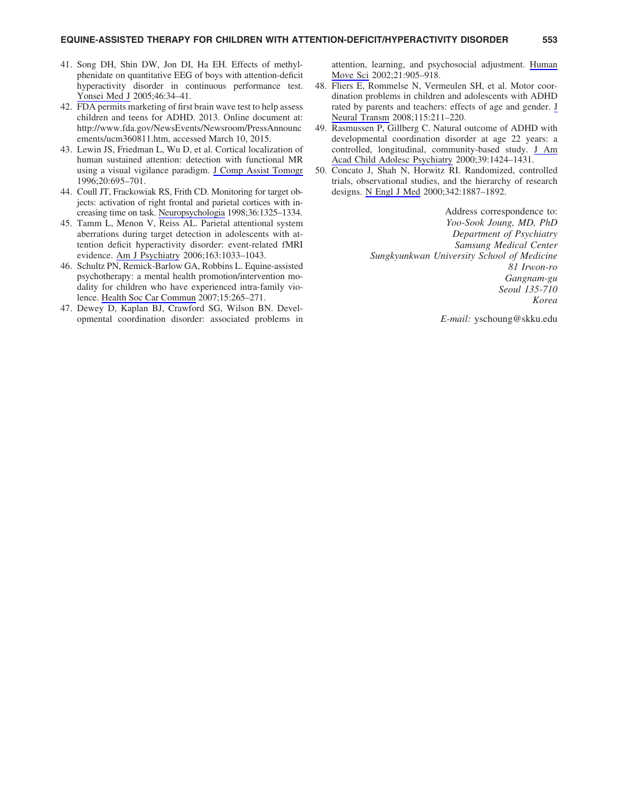- 41. Song DH, Shin DW, Jon DI, Ha EH. Effects of methylphenidate on quantitative EEG of boys with attention-deficit hyperactivity disorder in continuous performance test. [Yonsei Med J](http://online.liebertpub.com/action/showLinks?pmid=15744803&crossref=10.3349%2Fymj.2005.46.1.34) 2005;46:34–41.
- 42. FDA permits marketing of first brain wave test to help assess children and teens for ADHD. 2013. Online document at: http://www.fda.gov/NewsEvents/Newsroom/PressAnnounc ements/ucm360811.htm, accessed March 10, 2015.
- 43. Lewin JS, Friedman L, Wu D, et al. Cortical localization of human sustained attention: detection with functional MR using a visual vigilance paradigm. [J Comp Assist Tomogr](http://online.liebertpub.com/action/showLinks?pmid=8797896&crossref=10.1097%2F00004728-199609000-00002) 1996;20:695–701.
- 44. Coull JT, Frackowiak RS, Frith CD. Monitoring for target objects: activation of right frontal and parietal cortices with increasing time on task. [Neuropsychologia](http://online.liebertpub.com/action/showLinks?pmid=9863686&crossref=10.1016%2FS0028-3932%2898%2900035-9) 1998;36:1325–1334.
- 45. Tamm L, Menon V, Reiss AL. Parietal attentional system aberrations during target detection in adolescents with attention deficit hyperactivity disorder: event-related fMRI evidence. [Am J Psychiatry](http://online.liebertpub.com/action/showLinks?pmid=16741204&crossref=10.1176%2Fappi.ajp.163.6.1033) 2006;163:1033–1043.
- 46. Schultz PN, Remick-Barlow GA, Robbins L. Equine-assisted psychotherapy: a mental health promotion/intervention modality for children who have experienced intra-family violence. [Health Soc Car Commun](http://online.liebertpub.com/action/showLinks?pmid=17444990&crossref=10.1111%2Fj.1365-2524.2006.00684.x) 2007;15:265–271.
- 47. Dewey D, Kaplan BJ, Crawford SG, Wilson BN. Developmental coordination disorder: associated problems in

attention, learning, and psychosocial adjustment. [Human](http://online.liebertpub.com/action/showLinks?pmid=12620725&crossref=10.1016%2FS0167-9457%2802%2900163-X) [Move Sci](http://online.liebertpub.com/action/showLinks?pmid=12620725&crossref=10.1016%2FS0167-9457%2802%2900163-X) 2002;21:905–918.

- 48. Fliers E, Rommelse N, Vermeulen SH, et al. Motor coordination problems in children and adolescents with ADHD rated by parents and teachers: effects of age and gender. [J](http://online.liebertpub.com/action/showLinks?pmid=17994185&crossref=10.1007%2Fs00702-007-0827-0) [Neural Transm](http://online.liebertpub.com/action/showLinks?pmid=17994185&crossref=10.1007%2Fs00702-007-0827-0) 2008;115:211–220.
- 49. Rasmussen P, Gillberg C. Natural outcome of ADHD with developmental coordination disorder at age 22 years: a controlled, longitudinal, community-based study. [J Am](http://online.liebertpub.com/action/showLinks?pmid=11068898&crossref=10.1097%2F00004583-200011000-00017) [Acad Child Adolesc Psychiatry](http://online.liebertpub.com/action/showLinks?pmid=11068898&crossref=10.1097%2F00004583-200011000-00017) 2000;39:1424–1431.
- 50. Concato J, Shah N, Horwitz RI. Randomized, controlled trials, observational studies, and the hierarchy of research designs. [N Engl J Med](http://online.liebertpub.com/action/showLinks?pmid=10861325&crossref=10.1056%2FNEJM200006223422507) 2000;342:1887–1892.

Address correspondence to: *Yoo-Sook Joung, MD, PhD Department of Psychiatry Samsung Medical Center Sungkyunkwan University School of Medicine 81 Irwon-ro Gangnam-gu Seoul 135-710 Korea*

*E-mail:* yschoung@skku.edu